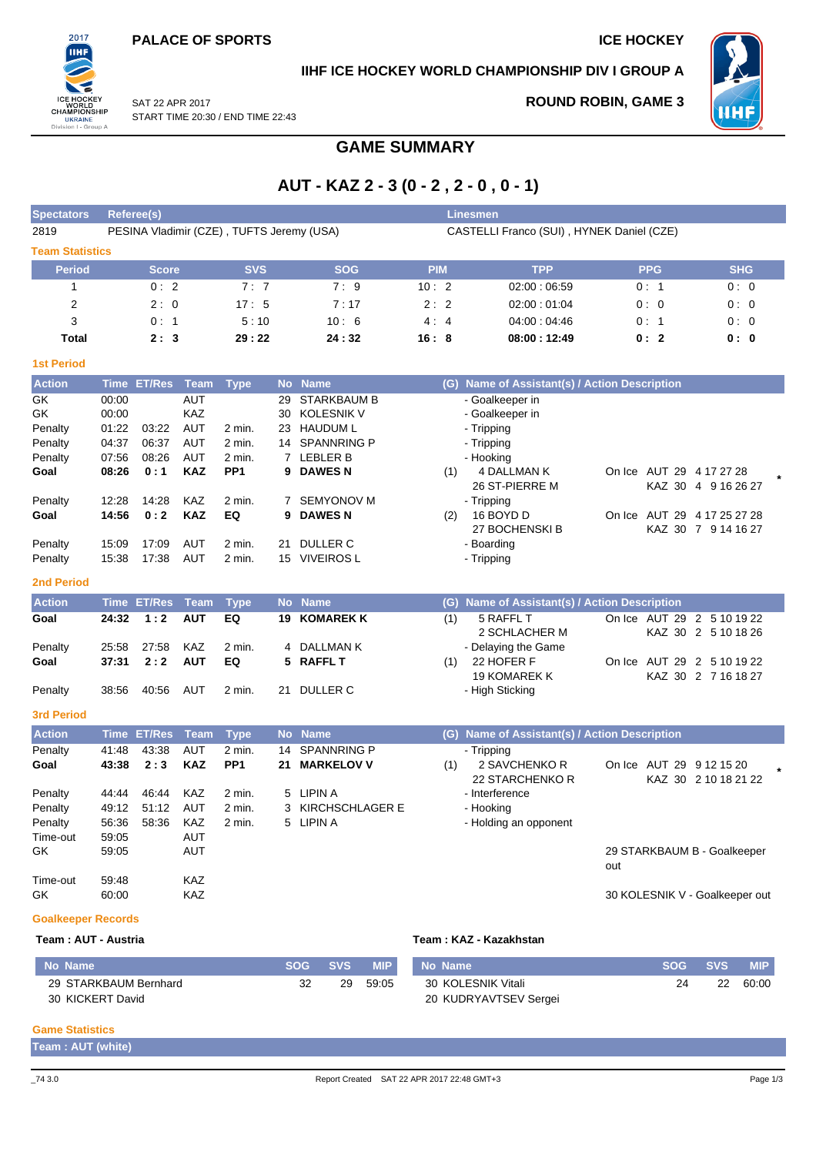

#### **IIHF ICE HOCKEY WORLD CHAMPIONSHIP DIV I GROUP A**

SAT 22 APR 2017 START TIME 20:30 / END TIME 22:43

#### **ROUND ROBIN, GAME 3**



**GAME SUMMARY**

## **AUT - KAZ 2 - 3 (0 - 2 , 2 - 0 , 0 - 1)**

| <b>Spectators</b>                                                               | Referee(s)<br><b>Linesmen</b>                                                 |                                                         |                                                                                                                     |                                                                         |                                                     |                                                                                                                                                                    |            |                                           |                                                                                                                                                                         |                                                                      |                                            |  |  |  |  |
|---------------------------------------------------------------------------------|-------------------------------------------------------------------------------|---------------------------------------------------------|---------------------------------------------------------------------------------------------------------------------|-------------------------------------------------------------------------|-----------------------------------------------------|--------------------------------------------------------------------------------------------------------------------------------------------------------------------|------------|-------------------------------------------|-------------------------------------------------------------------------------------------------------------------------------------------------------------------------|----------------------------------------------------------------------|--------------------------------------------|--|--|--|--|
| 2819                                                                            | PESINA Vladimir (CZE), TUFTS Jeremy (USA)                                     |                                                         |                                                                                                                     |                                                                         |                                                     |                                                                                                                                                                    |            | CASTELLI Franco (SUI), HYNEK Daniel (CZE) |                                                                                                                                                                         |                                                                      |                                            |  |  |  |  |
| <b>Team Statistics</b>                                                          |                                                                               |                                                         |                                                                                                                     |                                                                         |                                                     |                                                                                                                                                                    |            |                                           |                                                                                                                                                                         |                                                                      |                                            |  |  |  |  |
| <b>Period</b>                                                                   |                                                                               | <b>Score</b>                                            |                                                                                                                     | <b>SVS</b>                                                              |                                                     | <b>SOG</b>                                                                                                                                                         | <b>PIM</b> |                                           | <b>TPP</b>                                                                                                                                                              | <b>PPG</b>                                                           | <b>SHG</b>                                 |  |  |  |  |
| 1                                                                               |                                                                               | 0:2                                                     |                                                                                                                     | 7:7                                                                     |                                                     | 7:9                                                                                                                                                                | 10:2       |                                           | 02:00:06:59                                                                                                                                                             | 0:1                                                                  | 0:0                                        |  |  |  |  |
| $\overline{2}$                                                                  |                                                                               | 2:0                                                     |                                                                                                                     | 17:5                                                                    |                                                     | 7:17                                                                                                                                                               | 2:2        |                                           | 02:00:01:04                                                                                                                                                             | 0:0                                                                  | 0:0                                        |  |  |  |  |
| 3                                                                               |                                                                               | 0:1                                                     |                                                                                                                     | 5:10                                                                    |                                                     | 10:6                                                                                                                                                               | 4:4        |                                           | 04:00:04:46                                                                                                                                                             | 0:1                                                                  | 0:0                                        |  |  |  |  |
| Total                                                                           |                                                                               | 2:3                                                     |                                                                                                                     | 29:22                                                                   |                                                     | 24:32                                                                                                                                                              | 16:8       |                                           | 08:00:12:49                                                                                                                                                             | 0:2                                                                  | 0: 0                                       |  |  |  |  |
| <b>1st Period</b>                                                               |                                                                               |                                                         |                                                                                                                     |                                                                         |                                                     |                                                                                                                                                                    |            |                                           |                                                                                                                                                                         |                                                                      |                                            |  |  |  |  |
| <b>Action</b>                                                                   | <b>Time</b>                                                                   | <b>ET/Res</b>                                           | <b>Team</b>                                                                                                         | <b>Type</b>                                                             | <b>No</b>                                           | <b>Name</b>                                                                                                                                                        |            | (G)                                       | Name of Assistant(s) / Action Description                                                                                                                               |                                                                      |                                            |  |  |  |  |
| GK<br>GK<br>Penalty<br>Penalty<br>Penalty<br>Goal<br>Penalty<br>Goal<br>Penalty | 00:00<br>00:00<br>01:22<br>04:37<br>07:56<br>08:26<br>12:28<br>14:56<br>15:09 | 03:22<br>06:37<br>08:26<br>0:1<br>14:28<br>0:2<br>17:09 | <b>AUT</b><br>KAZ<br><b>AUT</b><br><b>AUT</b><br><b>AUT</b><br><b>KAZ</b><br><b>KAZ</b><br><b>KAZ</b><br><b>AUT</b> | 2 min.<br>2 min.<br>2 min.<br>PP <sub>1</sub><br>2 min.<br>EQ<br>2 min. | 29<br>30<br>23<br>14<br>9<br>$7^{\circ}$<br>9<br>21 | <b>STARKBAUM B</b><br><b>KOLESNIK V</b><br><b>HAUDUM L</b><br><b>SPANNRING P</b><br>7 LEBLER B<br><b>DAWESN</b><br><b>SEMYONOV M</b><br><b>DAWES N</b><br>DULLER C |            | (1)<br>(2)                                | - Goalkeeper in<br>- Goalkeeper in<br>- Tripping<br>- Tripping<br>- Hooking<br>4 DALLMAN K<br>26 ST-PIERRE M<br>- Tripping<br>16 BOYD D<br>27 BOCHENSKI B<br>- Boarding | On Ice AUT 29 4 17 27 28<br>On Ice AUT 29 4 17 25 27 28              | KAZ 30 4 9 16 26 27<br>KAZ 30 7 9 14 16 27 |  |  |  |  |
| Penalty                                                                         | 15:38                                                                         | 17:38                                                   | AUT                                                                                                                 | 2 min.                                                                  |                                                     | 15 VIVEIROS L                                                                                                                                                      |            |                                           | - Tripping                                                                                                                                                              |                                                                      |                                            |  |  |  |  |
| <b>2nd Period</b>                                                               |                                                                               |                                                         |                                                                                                                     |                                                                         |                                                     |                                                                                                                                                                    |            |                                           |                                                                                                                                                                         |                                                                      |                                            |  |  |  |  |
|                                                                                 |                                                                               |                                                         |                                                                                                                     |                                                                         |                                                     |                                                                                                                                                                    |            |                                           |                                                                                                                                                                         |                                                                      |                                            |  |  |  |  |
| <b>Action</b>                                                                   |                                                                               | <b>Time ET/Res</b>                                      | <b>Team</b>                                                                                                         | <b>Type</b>                                                             |                                                     | No Name                                                                                                                                                            |            |                                           | (G) Name of Assistant(s) / Action Description                                                                                                                           |                                                                      |                                            |  |  |  |  |
| Goal<br>Penalty<br>Goal                                                         | 24:32<br>25:58<br>37:31                                                       | 1:2<br>27:58<br>2:2                                     | <b>AUT</b><br><b>KAZ</b><br><b>AUT</b>                                                                              | EQ<br>2 min.<br>EQ                                                      | 19<br>4<br>5                                        | <b>KOMAREK K</b><br>DALLMAN K<br><b>RAFFL T</b>                                                                                                                    |            | (1)<br>(1)                                | 5 RAFFL T<br>2 SCHLACHER M<br>- Delaying the Game<br>22 HOFER F                                                                                                         | On Ice AUT 29 2 5 10 19 22<br>On Ice AUT 29 2 5 10 19 22             | KAZ 30 2 5 10 18 26                        |  |  |  |  |
| Penalty                                                                         | 38:56                                                                         | 40:56                                                   | AUT                                                                                                                 | 2 min.                                                                  |                                                     | 21 DULLER C                                                                                                                                                        |            |                                           | <b>19 KOMAREK K</b><br>- High Sticking                                                                                                                                  |                                                                      | KAZ 30 2 7 16 18 27                        |  |  |  |  |
| <b>3rd Period</b>                                                               |                                                                               |                                                         |                                                                                                                     |                                                                         |                                                     |                                                                                                                                                                    |            |                                           |                                                                                                                                                                         |                                                                      |                                            |  |  |  |  |
| <b>Action</b>                                                                   | Time                                                                          | <b>ET/Res</b>                                           | <b>Team</b>                                                                                                         | <b>Type</b>                                                             |                                                     | No Name                                                                                                                                                            |            |                                           | (G) Name of Assistant(s) / Action Description                                                                                                                           |                                                                      |                                            |  |  |  |  |
| Penalty<br>Goal                                                                 | 41:48<br>43:38                                                                | 43:38<br>2:3                                            | <b>AUT</b><br><b>KAZ</b>                                                                                            | 2 min.<br>PP <sub>1</sub>                                               | 14<br>21                                            | <b>SPANNRING P</b><br><b>MARKELOV V</b>                                                                                                                            |            | (1)                                       | - Tripping<br>2 SAVCHENKO R<br>22 STARCHENKO R                                                                                                                          | On Ice AUT 29 9 12 15 20                                             | KAZ 30 2 10 18 21 22                       |  |  |  |  |
| Penalty<br>Penalty<br>Penalty<br>Time-out<br>GK<br>Time-out<br>GK               | 44:44<br>49:12<br>56:36<br>59:05<br>59:05<br>59:48<br>60:00                   | 46:44<br>51:12<br>58:36                                 | <b>KAZ</b><br><b>AUT</b><br>KAZ<br><b>AUT</b><br>AUT<br><b>KAZ</b><br><b>KAZ</b>                                    | 2 min.<br>2 min.<br>2 min.                                              | 5<br>3                                              | <b>LIPIN A</b><br><b>KIRCHSCHLAGER E</b><br>5 LIPIN A                                                                                                              |            |                                           | - Interference<br>- Hooking<br>- Holding an opponent                                                                                                                    | 29 STARKBAUM B - Goalkeeper<br>out<br>30 KOLESNIK V - Goalkeeper out |                                            |  |  |  |  |

#### **Goalkeeper Records**

#### **Team : AUT - Austria Team : KAZ - Kazakhstan No Name SOG SVS MIP** 29 STARKBAUM Bernhard 30 KICKERT David 32 29 59:05 **No Name SOG SVS MIP** 30 KOLESNIK Vitali 20 KUDRYAVTSEV Sergei 24 22 60:00

#### **Game Statistics**

**Team : AUT (white)**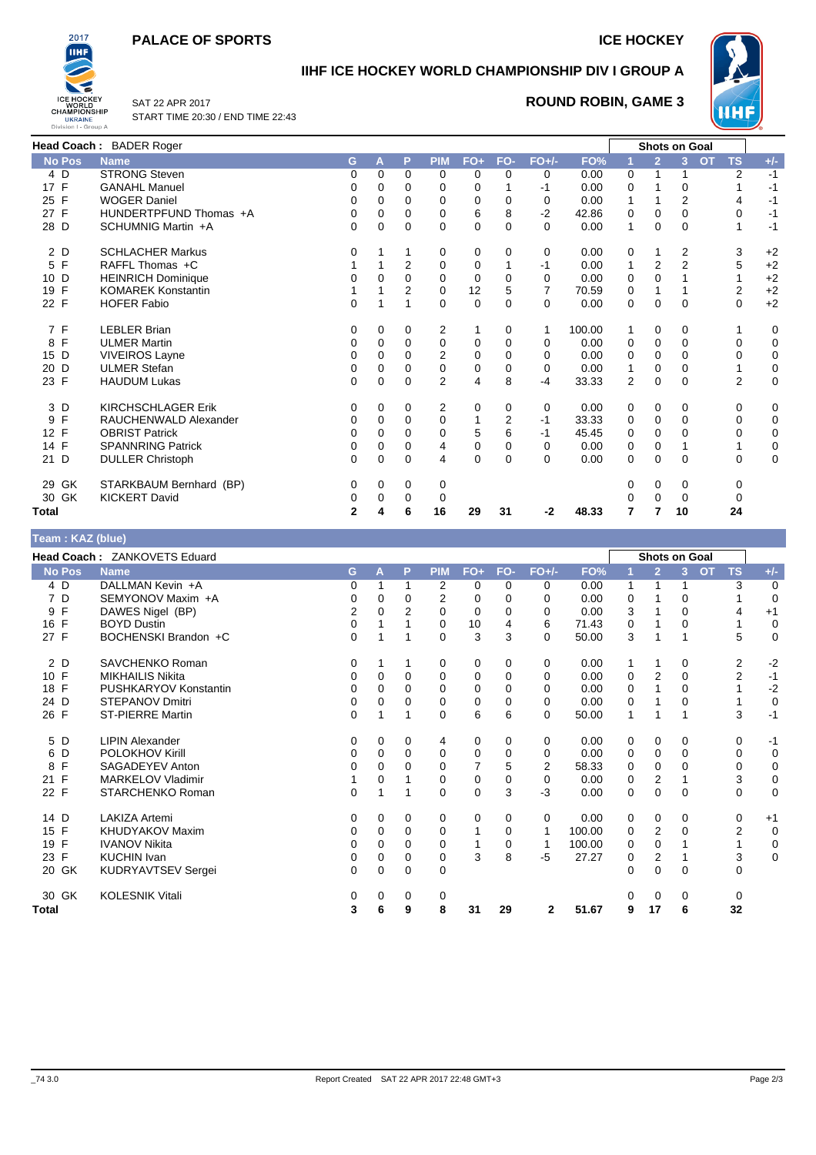#### **PALACE OF SPORTS ICE HOCKEY**



### **IIHF ICE HOCKEY WORLD CHAMPIONSHIP DIV I GROUP A**



SAT 22 APR 2017 START TIME 20:30 / END TIME 22:43

#### **ROUND ROBIN, GAME 3**

|               | Head Coach: BADER Roger   |              |          |                |                |          |                |          |        |              |                | <b>Shots on Goal</b> |                        |             |
|---------------|---------------------------|--------------|----------|----------------|----------------|----------|----------------|----------|--------|--------------|----------------|----------------------|------------------------|-------------|
| <b>No Pos</b> | <b>Name</b>               | G            | А        | P              | <b>PIM</b>     | $FO+$    | FO-            | $FO+/-$  | FO%    |              | $\overline{2}$ | 3                    | <b>TS</b><br><b>OT</b> | $+/-$       |
| 4 D           | <b>STRONG Steven</b>      | 0            | $\Omega$ | 0              | $\Omega$       | 0        | 0              | 0        | 0.00   | 0            |                |                      | 2                      | $-1$        |
| 17 F          | <b>GANAHL Manuel</b>      | 0            | 0        | 0              | 0              | 0        |                | -1       | 0.00   | 0            |                | 0                    |                        | $-1$        |
| 25 F          | <b>WOGER Daniel</b>       | 0            | 0        | 0              | $\mathbf 0$    | $\Omega$ | 0              | 0        | 0.00   | 1            |                | $\overline{2}$       | 4                      | $-1$        |
| 27 F          | HUNDERTPFUND Thomas +A    | 0            | 0        | 0              | $\Omega$       | 6        | 8              | $-2$     | 42.86  | 0            | $\Omega$       | 0                    | 0                      | $-1$        |
| 28 D          | SCHUMNIG Martin +A        | 0            | $\Omega$ | $\Omega$       | $\Omega$       | 0        | $\Omega$       | $\Omega$ | 0.00   | $\mathbf{1}$ | $\Omega$       | $\Omega$             |                        | $-1$        |
| 2 D           | <b>SCHLACHER Markus</b>   | 0            |          | 1              | 0              | 0        | 0              | 0        | 0.00   | 0            |                | 2                    | 3                      | $+2$        |
| 5 F           | RAFFL Thomas +C           |              |          | 2              | $\mathbf 0$    | $\Omega$ | 1              | -1       | 0.00   | 1            | 2              | $\overline{2}$       | 5                      | $+2$        |
| 10 D          | <b>HEINRICH Dominique</b> | 0            | 0        | $\Omega$       | $\Omega$       | $\Omega$ | $\Omega$       | $\Omega$ | 0.00   | 0            | $\Omega$       |                      |                        | $+2$        |
| 19 F          | <b>KOMAREK Konstantin</b> |              |          | $\overline{2}$ | $\mathbf 0$    | 12       | 5              | 7        | 70.59  | 0            |                |                      | 2                      | $+2$        |
| 22 F          | <b>HOFER Fabio</b>        | 0            |          | 1              | $\Omega$       | $\Omega$ | $\mathbf 0$    | $\Omega$ | 0.00   | $\mathbf 0$  | 0              | $\Omega$             | $\Omega$               | $+2$        |
| 7 F           | <b>LEBLER Brian</b>       | 0            | 0        | 0              | 2              |          | 0              |          | 100.00 | 1            | 0              | 0                    |                        | 0           |
| 8 F           | <b>ULMER Martin</b>       | 0            | 0        | $\Omega$       | 0              | $\Omega$ | $\mathbf 0$    | $\Omega$ | 0.00   | 0            | 0              | $\Omega$             | $\Omega$               | 0           |
| 15 D          | <b>VIVEIROS Layne</b>     | 0            | 0        | 0              | $\overline{2}$ | $\Omega$ | 0              | 0        | 0.00   | 0            | 0              | 0                    | 0                      | 0           |
| 20 D          | <b>ULMER Stefan</b>       | 0            | 0        | $\Omega$       | $\mathbf 0$    | $\Omega$ | $\mathbf 0$    | 0        | 0.00   | 1            | $\Omega$       | $\Omega$             |                        | $\mathbf 0$ |
| 23 F          | <b>HAUDUM Lukas</b>       | 0            | 0        | 0              | $\overline{2}$ | 4        | 8              | $-4$     | 33.33  | 2            | 0              | 0                    | 2                      | 0           |
| 3 D           | <b>KIRCHSCHLAGER Erik</b> | $\Omega$     | 0        | $\mathbf 0$    | 2              | 0        | $\mathbf 0$    | 0        | 0.00   | 0            | $\Omega$       | $\Omega$             | $\Omega$               | 0           |
| F<br>9        | RAUCHENWALD Alexander     | 0            | 0        | 0              | $\mathbf 0$    |          | $\overline{2}$ | -1       | 33.33  | 0            | 0              | 0                    | 0                      | 0           |
| 12 F          | <b>OBRIST Patrick</b>     | 0            | $\Omega$ | $\Omega$       | $\Omega$       | 5        | 6              | -1       | 45.45  | 0            | $\Omega$       | 0                    | 0                      | 0           |
| 14 F          | <b>SPANNRING Patrick</b>  | 0            | 0        | 0              | 4              | 0        | $\mathbf 0$    | 0        | 0.00   | 0            | 0              |                      |                        | $\mathbf 0$ |
| 21 D          | <b>DULLER Christoph</b>   | 0            | 0        | $\mathbf 0$    | 4              | $\Omega$ | $\mathbf 0$    | $\Omega$ | 0.00   | 0            | $\Omega$       | $\Omega$             | $\Omega$               | 0           |
| 29 GK         | STARKBAUM Bernhard (BP)   | 0            | 0        | 0              | 0              |          |                |          |        | 0            | 0              | 0                    | 0                      |             |
| 30 GK         | <b>KICKERT David</b>      | 0            | 0        | 0              | 0              |          |                |          |        | 0            | $\Omega$       | 0                    |                        |             |
| Total         |                           | $\mathbf{2}$ | 4        | 6              | 16             | 29       | 31             | -2       | 48.33  | 7            |                | 10                   | 24                     |             |

**Team : KAZ (blue)**

| $1$ van $11$ $11$ $11$ $1$ $11$ $10$ $10$ |                              |                |          |          |                |          |             |              |        |    |                |                |                 |             |
|-------------------------------------------|------------------------------|----------------|----------|----------|----------------|----------|-------------|--------------|--------|----|----------------|----------------|-----------------|-------------|
|                                           | Head Coach: ZANKOVETS Eduard |                |          |          |                |          |             |              |        |    |                | Shots on Goal  |                 |             |
| <b>No Pos</b>                             | <b>Name</b>                  | G              | A        | P        | <b>PIM</b>     | $FO+$    | FO-         | $FO+/-$      | FO%    | -1 | $\overline{2}$ | 3 <sup>1</sup> | OT<br><b>TS</b> | $+/-$       |
| 4 D                                       | DALLMAN Kevin +A             | 0              |          |          | 2              | 0        | $\Omega$    | 0            | 0.00   | 1  |                |                | 3               | $\mathbf 0$ |
| 7 D                                       | SEMYONOV Maxim +A            | 0              | 0        | 0        | $\overline{2}$ | 0        | 0           | 0            | 0.00   | 0  |                | 0              |                 | $\mathbf 0$ |
| F<br>9                                    | DAWES Nigel (BP)             | $\overline{2}$ | $\Omega$ | 2        | $\Omega$       | 0        | 0           | 0            | 0.00   | 3  |                | 0              |                 | $+1$        |
| 16 F                                      | <b>BOYD Dustin</b>           | 0              |          |          | 0              | 10       | 4           | 6            | 71.43  | 0  |                | 0              |                 | $\mathbf 0$ |
| 27 F                                      | BOCHENSKI Brandon +C         | 0              |          |          | $\Omega$       | 3        | 3           | 0            | 50.00  | 3  |                |                | 5               | $\mathbf 0$ |
| 2 D                                       | SAVCHENKO Roman              | 0              |          |          | 0              | 0        | 0           | 0            | 0.00   | 1  | 1              | 0              | 2               | $-2$        |
| 10 F                                      | <b>MIKHAILIS Nikita</b>      | 0              | $\Omega$ | $\Omega$ | 0              | 0        | $\Omega$    | $\Omega$     | 0.00   | 0  | $\overline{2}$ | $\Omega$       | 2               | $-1$        |
| 18 F                                      | PUSHKARYOV Konstantin        | 0              | $\Omega$ | 0        | 0              | 0        | 0           | 0            | 0.00   | 0  |                | 0              |                 | $-2$        |
| 24 D                                      | <b>STEPANOV Dmitri</b>       | 0              | 0        | 0        | 0              | 0        | $\Omega$    | $\Omega$     | 0.00   | 0  |                | 0              |                 | $\mathbf 0$ |
| 26 F                                      | <b>ST-PIERRE Martin</b>      | 0              |          |          | $\Omega$       | 6        | 6           | $\Omega$     | 50.00  | 1  |                |                | 3               | $-1$        |
| 5 D                                       | <b>LIPIN Alexander</b>       | 0              | 0        | 0        | 4              | 0        | 0           | 0            | 0.00   | 0  | 0              | 0              | 0               | $-1$        |
| 6 D                                       | POLOKHOV Kirill              | 0              | 0        | $\Omega$ | 0              | 0        | 0           | 0            | 0.00   | 0  | 0              | 0              | 0               | $\mathbf 0$ |
| F<br>8                                    | SAGADEYEV Anton              | 0              | $\Omega$ | 0        | 0              |          | 5           | 2            | 58.33  | 0  | $\Omega$       | 0              | 0               | 0           |
| F<br>21                                   | <b>MARKELOV Vladimir</b>     |                | 0        |          | 0              | 0        | $\mathbf 0$ | 0            | 0.00   | 0  | $\overline{2}$ |                | 3               | $\mathbf 0$ |
| 22 F                                      | STARCHENKO Roman             | $\Omega$       |          |          | 0              | 0        | 3           | $-3$         | 0.00   | 0  | $\Omega$       | $\Omega$       | $\Omega$        | 0           |
| 14 D                                      | <b>LAKIZA Artemi</b>         | 0              | 0        | 0        | 0              | $\Omega$ | 0           | 0            | 0.00   | 0  | $\Omega$       | 0              | 0               | $+1$        |
| 15 F                                      | <b>KHUDYAKOV Maxim</b>       | $\Omega$       | $\Omega$ | $\Omega$ | 0              |          | 0           | 1            | 100.00 | 0  | $\overline{2}$ | 0              | 2               | 0           |
| 19 F                                      | <b>IVANOV Nikita</b>         | 0              | 0        | $\Omega$ | 0              |          | 0           | 1            | 100.00 | 0  | $\Omega$       |                |                 | $\mathbf 0$ |
| 23 F                                      | <b>KUCHIN Ivan</b>           | 0              | 0        | $\Omega$ | 0              | 3        | 8           | $-5$         | 27.27  | 0  | $\overline{2}$ |                | 3               | $\mathbf 0$ |
| 20 GK                                     | <b>KUDRYAVTSEV Sergei</b>    | 0              | 0        | 0        | 0              |          |             |              |        | 0  | $\mathbf 0$    | 0              | 0               |             |
| 30 GK                                     | <b>KOLESNIK Vitali</b>       | 0              | 0        | 0        | 0              |          |             |              |        | ი  | $\Omega$       | 0              | 0               |             |
| Total                                     |                              | 3              | 6        | 9        | 8              | 31       | 29          | $\mathbf{2}$ | 51.67  | 9  | 17             | 6              | 32              |             |